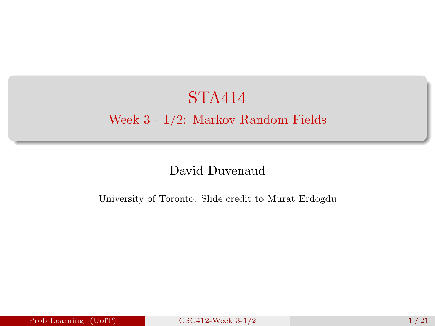# <span id="page-0-0"></span>STA414 Week 3 - 1/2: Markov Random Fields

#### David Duvenaud

University of Toronto. Slide credit to Murat Erdogdu

Prob Learning (UofT) [CSC412-Week 3-1/2](#page-21-0) 1/21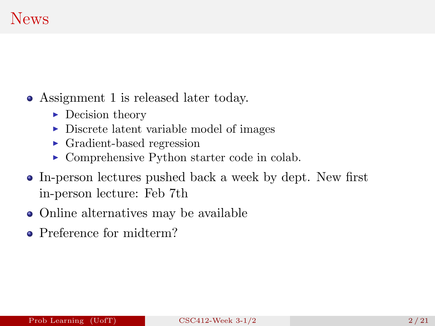### News

Assignment 1 is released later today.

- $\blacktriangleright$  Decision theory
- $\triangleright$  Discrete latent variable model of images
- $\triangleright$  Gradient-based regression
- $\triangleright$  Comprehensive Python starter code in colab.
- In-person lectures pushed back a week by dept. New first in-person lecture: Feb 7th
- Online alternatives may be available
- Preference for midterm?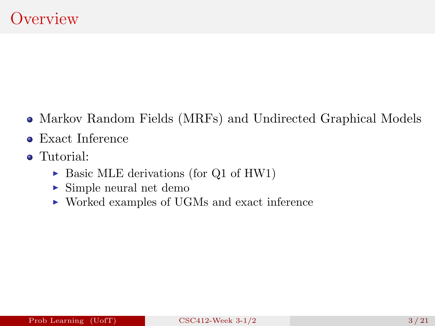- Markov Random Fields (MRFs) and Undirected Graphical Models
- Exact Inference
- Tutorial:
	- $\triangleright$  Basic MLE derivations (for Q1 of HW1)
	- $\blacktriangleright$  Simple neural net demo
	- $\triangleright$  Worked examples of UGMs and exact inference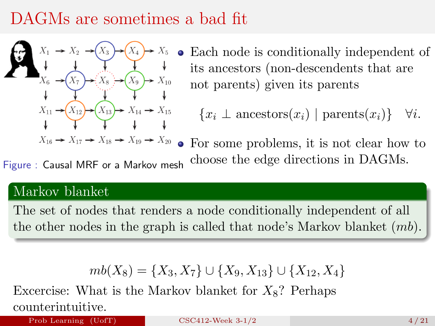# DAGMs are sometimes a bad fit



Each node is conditionally independent of  $\bullet$ its ancestors (non-descendents that are not parents) given its parents

 ${x_i \perp$  ancestors $(x_i)$  | parents $(x_i)$ }  $\forall i$ .

• For some problems, it is not clear how to choose the edge directions in DAGMs. Figure: Causal MRF or a Markov mesh

#### Markov blanket

The set of nodes that renders a node conditionally independent of all the other nodes in the graph is called that node's Markov blanket  $(mb)$ .

$$
mb(X_8) = \{X_3, X_7\} \cup \{X_9, X_{13}\} \cup \{X_{12}, X_4\}
$$

Excercise: What is the Markov blanket for  $X_8$ ? Perhaps counterintuitive.

Prob Learning  $(UofT)$  [CSC412-Week 3-1/2](#page-0-0) 4/21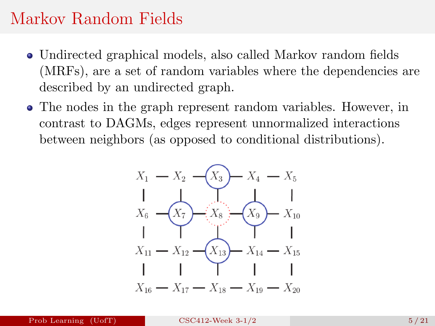#### Markov Random Fields

- Undirected graphical models, also called Markov random fields (MRFs), are a set of random variables where the dependencies are described by an undirected graph.
- The nodes in the graph represent random variables. However, in contrast to DAGMs, edges represent unnormalized interactions between neighbors (as opposed to conditional distributions).

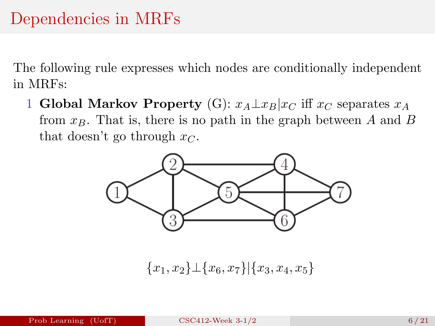The following rule expresses which nodes are conditionally independent in MRFs:

1 Global Markov Property (G):  $x_A \perp x_B | x_C$  iff  $x_C$  separates  $x_A$ from  $x_B$ . That is, there is no path in the graph between A and B that doesn't go through  $x_C$ .



 ${x_1, x_2\} \perp {x_6, x_7}$ |{ $x_3, x_4, x_5$ }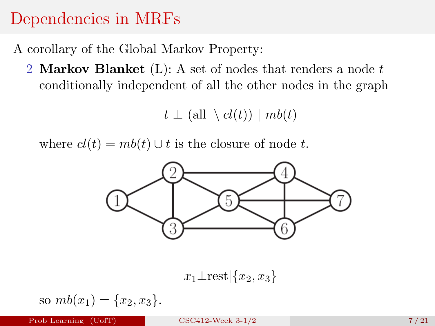## Dependencies in MRFs

A corollary of the Global Markov Property:

2 Markov Blanket  $(L)$ : A set of nodes that renders a node t conditionally independent of all the other nodes in the graph

$$
t \perp (\text{all } \setminus cl(t)) \mid mb(t)
$$

where  $cl(t) = mb(t) \cup t$  is the closure of node t.



 $x_1\perp$ rest $\vert \{x_2, x_3\} \vert$ 

so 
$$
mb(x_1) = \{x_2, x_3\}.
$$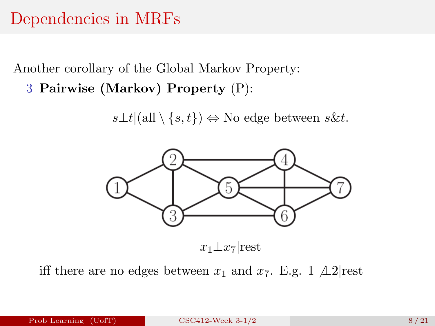#### Dependencies in MRFs

Another corollary of the Global Markov Property:

3 Pairwise (Markov) Property (P):

 $s\bot t |(\text{all} \setminus \{s,t\}) \Leftrightarrow$  No edge between  $s\&t$ .



iff there are no edges between  $x_1$  and  $x_7$ . E.g. 1  $\angle$ 12|rest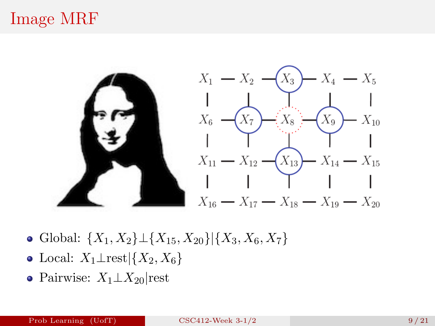# Image MRF



- Global:  $\{X_1, X_2\} \perp \{X_{15}, X_{20}\} | \{X_3, X_6, X_7\}$
- Local:  $X_1 \perp \text{rest} | \{X_2, X_6\}$
- Pairwise:  $X_1 \perp X_{20}$ |rest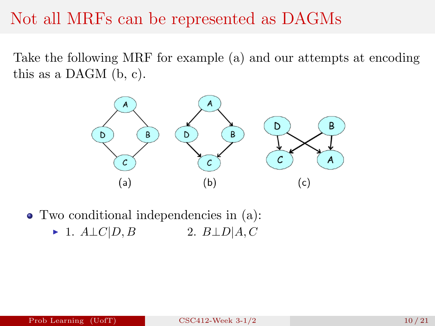#### Not all MRFs can be represented as DAGMs

Take the following MRF for example (a) and our attempts at encoding this as a DAGM (b, c).



Two conditional independencies in (a):  $\blacktriangleright$  1.  $A \perp C | D, B$  2.  $B \perp D | A, C$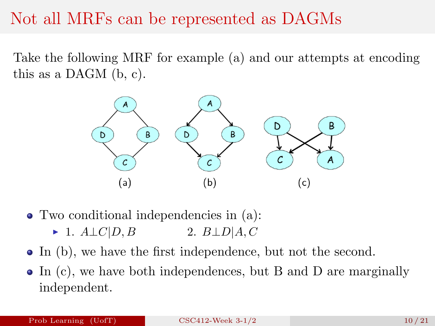### Not all MRFs can be represented as DAGMs

Take the following MRF for example (a) and our attempts at encoding this as a DAGM (b, c).



Two conditional independencies in (a):

- $\blacktriangleright$  1.  $A \perp C | D, B$  2.  $B \perp D | A, C$
- In (b), we have the first independence, but not the second.
- In (c), we have both independences, but B and D are marginally independent.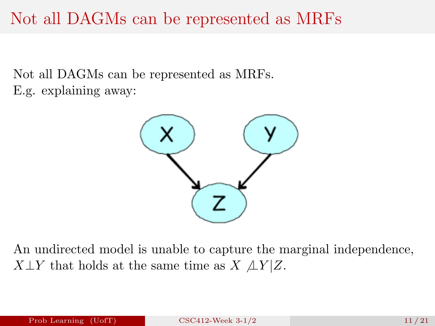### Not all DAGMs can be represented as MRFs

Not all DAGMs can be represented as MRFs. E.g. explaining away:



An undirected model is unable to capture the marginal independence,  $X \perp Y$  that holds at the same time as  $X \perp Y | Z$ .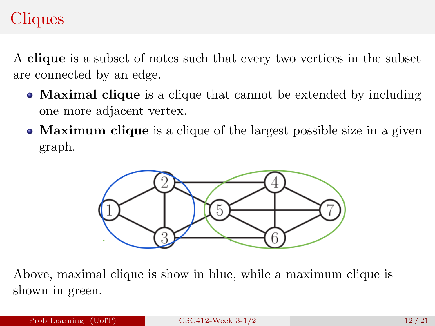# Cliques

A clique is a subset of notes such that every two vertices in the subset are connected by an edge.

- **Maximal clique** is a clique that cannot be extended by including one more adjacent vertex.
- **Maximum clique** is a clique of the largest possible size in a given graph.



Above, maximal clique is show in blue, while a maximum clique is shown in green.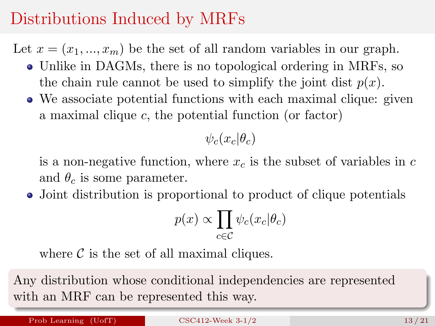# Distributions Induced by MRFs

Let  $x = (x_1, ..., x_m)$  be the set of all random variables in our graph.

- Unlike in DAGMs, there is no topological ordering in MRFs, so the chain rule cannot be used to simplify the joint dist  $p(x)$ .
- We associate potential functions with each maximal clique: given a maximal clique  $c$ , the potential function (or factor)

 $\psi_c(x_c|\theta_c)$ 

is a non-negative function, where  $x_c$  is the subset of variables in c and  $\theta_c$  is some parameter.

Joint distribution is proportional to product of clique potentials

$$
p(x) \propto \prod_{c \in \mathcal{C}} \psi_c(x_c | \theta_c)
$$

where  $\mathcal C$  is the set of all maximal cliques.

Any distribution whose conditional independencies are represented with an MRF can be represented this way.

Prob Learning (UofT) [CSC412-Week 3-1/2](#page-0-0) 13/21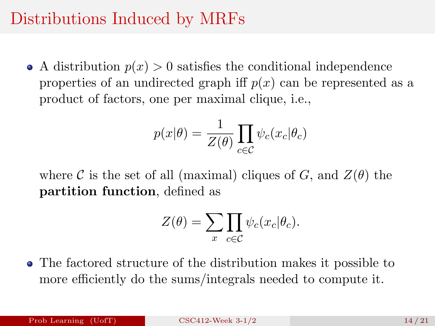## Distributions Induced by MRFs

• A distribution  $p(x) > 0$  satisfies the conditional independence properties of an undirected graph iff  $p(x)$  can be represented as a product of factors, one per maximal clique, i.e.,

$$
p(x|\theta) = \frac{1}{Z(\theta)} \prod_{c \in \mathcal{C}} \psi_c(x_c|\theta_c)
$$

where C is the set of all (maximal) cliques of G, and  $Z(\theta)$  the partition function, defined as

$$
Z(\theta) = \sum_{x} \prod_{c \in \mathcal{C}} \psi_c(x_c | \theta_c).
$$

The factored structure of the distribution makes it possible to more efficiently do the sums/integrals needed to compute it.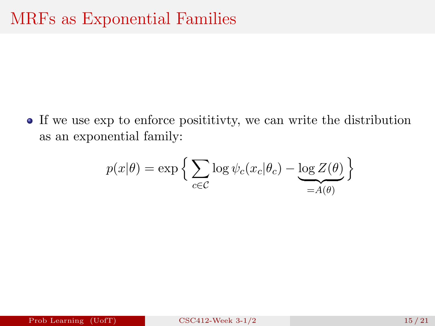If we use exp to enforce posititivty, we can write the distribution as an exponential family:

$$
p(x|\theta) = \exp\left\{\sum_{c \in \mathcal{C}} \log \psi_c(x_c|\theta_c) - \underbrace{\log Z(\theta)}_{=A(\theta)}\right\}
$$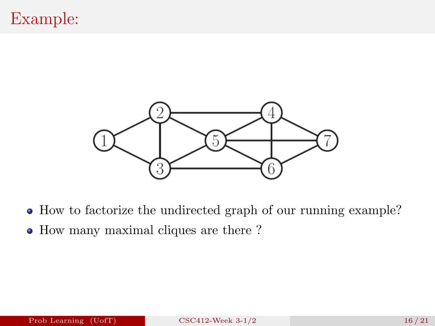

- How to factorize the undirected graph of our running example?
- How many maximal cliques are there?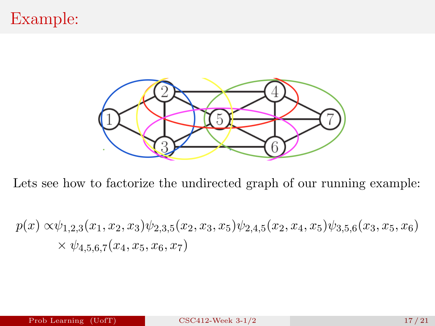# Example:



Lets see how to factorize the undirected graph of our running example:

$$
p(x) \propto \psi_{1,2,3}(x_1, x_2, x_3) \psi_{2,3,5}(x_2, x_3, x_5) \psi_{2,4,5}(x_2, x_4, x_5) \psi_{3,5,6}(x_3, x_5, x_6)
$$
  
  $\times \psi_{4,5,6,7}(x_4, x_5, x_6, x_7)$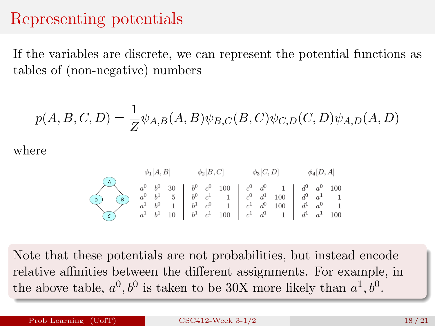#### Representing potentials

If the variables are discrete, we can represent the potential functions as tables of (non-negative) numbers

$$
p(A, B, C, D) = \frac{1}{Z} \psi_{A,B}(A, B) \psi_{B,C}(B, C) \psi_{C,D}(C, D) \psi_{A,D}(A, D)
$$

where

$$
\phi_1[A,B] \qquad \phi_2[B,C] \qquad \phi_3[C,D] \qquad \phi_4[D,A]
$$
\n
$$
\begin{array}{c|ccccccccc}\n a^0 & b^0 & 30 & b^0 & c^0 & 100 & c^0 & d^0 & 1 & d^0 & a^0 & 100 \\
a^0 & b^1 & 5 & b^0 & c^1 & 1 & c^0 & d^1 & 100 & d^0 & a^1 & 1 \\
a^1 & b^0 & 1 & b^1 & c^0 & 1 & c^1 & d^0 & 100 & d^1 & a^0 & 1 \\
b^1 & c^1 & 100 & c^1 & d^1 & 1 & d^1 & a^1 & 100\n\end{array}
$$

Note that these potentials are not probabilities, but instead encode relative affinities between the different assignments. For example, in the above table,  $a^0, b^0$  is taken to be 30X more likely than  $a^1, b^0$ .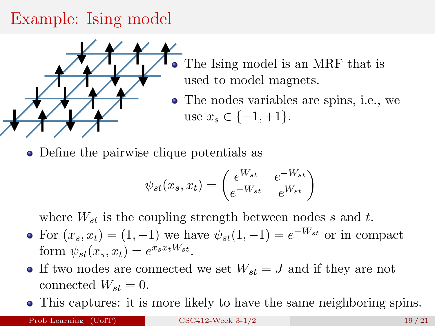# Example: Ising model



- The Ising model is an MRF that is used to model magnets.
- The nodes variables are spins, i.e., we use  $x_s \in \{-1, +1\}.$
- Define the pairwise clique potentials as

$$
\psi_{st}(x_s, x_t) = \begin{pmatrix} e^{W_{st}} & e^{-W_{st}} \\ e^{-W_{st}} & e^{W_{st}} \end{pmatrix}
$$

where  $W_{st}$  is the coupling strength between nodes s and t.

- For  $(x_s, x_t) = (1, -1)$  we have  $\psi_{st}(1, -1) = e^{-W_{st}}$  or in compact form  $\psi_{st}(x_s, x_t) = e^{x_s x_t W_{st}}.$
- If two nodes are connected we set  $W_{st} = J$  and if they are not connected  $W_{st} = 0$ .
- This captures: it is more likely to have the same neighboring spins.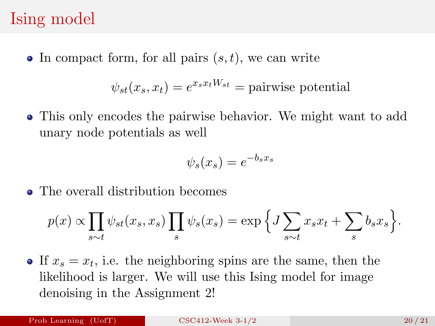#### Ising model

 $\bullet$  In compact form, for all pairs  $(s, t)$ , we can write

$$
\psi_{st}(x_s, x_t) = e^{x_s x_t W_{st}} = \text{pairwise potential}
$$

This only encodes the pairwise behavior. We might want to add unary node potentials as well

$$
\psi_s(x_s) = e^{-b_s x_s}
$$

• The overall distribution becomes

$$
p(x) \propto \prod_{s \sim t} \psi_{st}(x_s, x_s) \prod_s \psi_s(x_s) = \exp \Big\{ J \sum_{s \sim t} x_s x_t + \sum_s b_s x_s \Big\}.
$$

If  $x_s = x_t$ , i.e. the neighboring spins are the same, then the likelihood is larger. We will use this Ising model for image denoising in the Assignment 2!